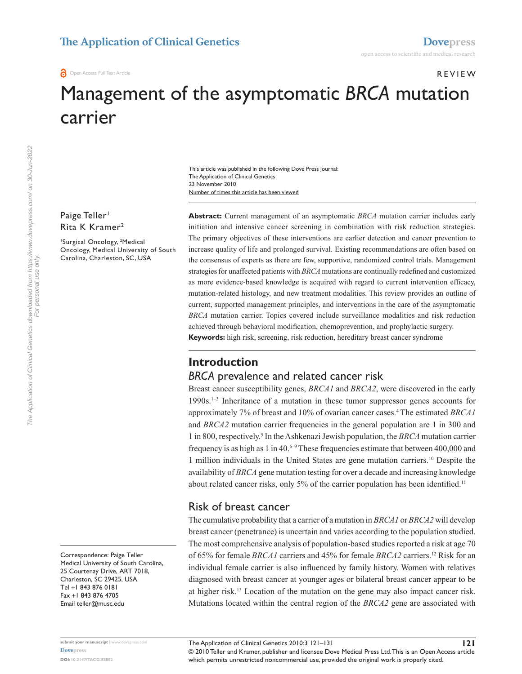# Review

## Management of the asymptomatic *BRCA* mutation carrier

This article was published in the following Dove Press journal: The Application of Clinical Genetics 23 November 2010 Number of times this article has been viewed

Paige Teller<sup>1</sup> Rita K Kramer<sup>2</sup>

1 Surgical Oncology, 2 Medical Oncology, Medical University of South Carolina, Charleston, SC, USA

**Abstract:** Current management of an asymptomatic *BRCA* mutation carrier includes early initiation and intensive cancer screening in combination with risk reduction strategies. The primary objectives of these interventions are earlier detection and cancer prevention to increase quality of life and prolonged survival. Existing recommendations are often based on the consensus of experts as there are few, supportive, randomized control trials. Management strategies for unaffected patients with *BRCA* mutations are continually redefined and customized as more evidence-based knowledge is acquired with regard to current intervention efficacy, mutation-related histology, and new treatment modalities. This review provides an outline of current, supported management principles, and interventions in the care of the asymptomatic *BRCA* mutation carrier. Topics covered include surveillance modalities and risk reduction achieved through behavioral modification, chemoprevention, and prophylactic surgery. **Keywords:** high risk, screening, risk reduction, hereditary breast cancer syndrome

## **Introduction**

## *BRCA* prevalence and related cancer risk

Breast cancer susceptibility genes, *BRCA1* and *BRCA2*, were discovered in the early 1990s.1–3 Inheritance of a mutation in these tumor suppressor genes accounts for approximately 7% of breast and 10% of ovarian cancer cases.4 The estimated *BRCA1* and *BRCA2* mutation carrier frequencies in the general population are 1 in 300 and 1 in 800, respectively.<sup>5</sup> In the Ashkenazi Jewish population, the *BRCA* mutation carrier frequency is as high as 1 in 40. $6-9$  These frequencies estimate that between 400,000 and 1 million individuals in the United States are gene mutation carriers.10 Despite the availability of *BRCA* gene mutation testing for over a decade and increasing knowledge about related cancer risks, only 5% of the carrier population has been identified.<sup>11</sup>

## Risk of breast cancer

The cumulative probability that a carrier of a mutation in *BRCA1* or *BRCA2* will develop breast cancer (penetrance) is uncertain and varies according to the population studied. The most comprehensive analysis of population-based studies reported a risk at age 70 of 65% for female *BRCA1* carriers and 45% for female *BRCA2* carriers.12 Risk for an individual female carrier is also influenced by family history. Women with relatives diagnosed with breast cancer at younger ages or bilateral breast cancer appear to be at higher risk.13 Location of the mutation on the gene may also impact cancer risk. Mutations located within the central region of the *BRCA2* gene are associated with

Correspondence: Paige Teller Medical University of South Carolina, 25 Courtenay Drive, ART 7018, Charleston, SC 29425, USA Tel +1 843 876 0181 Fax +1 843 876 4705 Email [teller@musc.edu](mailto:teller@musc.edu)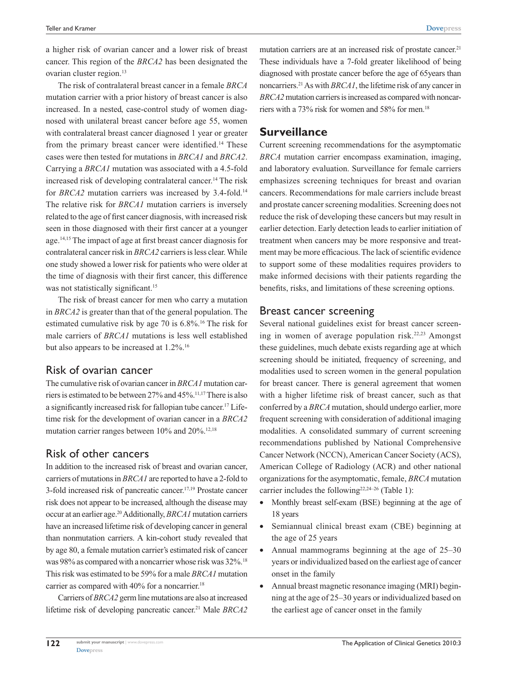a higher risk of ovarian cancer and a lower risk of breast cancer. This region of the *BRCA2* has been designated the ovarian cluster region.<sup>13</sup>

The risk of contralateral breast cancer in a female *BRCA* mutation carrier with a prior history of breast cancer is also increased. In a nested, case-control study of women diagnosed with unilateral breast cancer before age 55, women with contralateral breast cancer diagnosed 1 year or greater from the primary breast cancer were identified.<sup>14</sup> These cases were then tested for mutations in *BRCA1* and *BRCA2*. Carrying a *BRCA1* mutation was associated with a 4.5-fold increased risk of developing contralateral cancer.<sup>14</sup> The risk for *BRCA2* mutation carriers was increased by 3.4-fold.<sup>14</sup> The relative risk for *BRCA1* mutation carriers is inversely related to the age of first cancer diagnosis, with increased risk seen in those diagnosed with their first cancer at a younger age.14,15 The impact of age at first breast cancer diagnosis for contralateral cancer risk in *BRCA2* carriers is less clear. While one study showed a lower risk for patients who were older at the time of diagnosis with their first cancer, this difference was not statistically significant.<sup>15</sup>

The risk of breast cancer for men who carry a mutation in *BRCA2* is greater than that of the general population. The estimated cumulative risk by age 70 is 6.8%.16 The risk for male carriers of *BRCA1* mutations is less well established but also appears to be increased at 1.2%.<sup>16</sup>

## Risk of ovarian cancer

The cumulative risk of ovarian cancer in *BRCA1* mutation carriers is estimated to be between 27% and 45%.11,17 There is also a significantly increased risk for fallopian tube cancer.17 Lifetime risk for the development of ovarian cancer in a *BRCA2* mutation carrier ranges between 10% and 20%.<sup>12,18</sup>

## Risk of other cancers

In addition to the increased risk of breast and ovarian cancer, carriers of mutations in *BRCA1* are reported to have a 2-fold to 3-fold increased risk of pancreatic cancer.17,19 Prostate cancer risk does not appear to be increased, although the disease may occur at an earlier age.20Additionally, *BRCA1* mutation carriers have an increased lifetime risk of developing cancer in general than nonmutation carriers. A kin-cohort study revealed that by age 80, a female mutation carrier's estimated risk of cancer was 98% as compared with a noncarrier whose risk was 32%.18 This risk was estimated to be 59% for a male *BRCA1* mutation carrier as compared with  $40\%$  for a noncarrier.<sup>18</sup>

Carriers of *BRCA2* germ line mutations are also at increased lifetime risk of developing pancreatic cancer.<sup>21</sup> Male *BRCA2*  mutation carriers are at an increased risk of prostate cancer.<sup>21</sup> These individuals have a 7-fold greater likelihood of being diagnosed with prostate cancer before the age of 65years than noncarriers.21As with *BRCA1*, the lifetime risk of any cancer in *BRCA2* mutation carriers is increased as compared with noncarriers with a 73% risk for women and 58% for men.<sup>18</sup>

## **Surveillance**

Current screening recommendations for the asymptomatic *BRCA* mutation carrier encompass examination, imaging, and laboratory evaluation. Surveillance for female carriers emphasizes screening techniques for breast and ovarian cancers. Recommendations for male carriers include breast and prostate cancer screening modalities. Screening does not reduce the risk of developing these cancers but may result in earlier detection. Early detection leads to earlier initiation of treatment when cancers may be more responsive and treatment may be more efficacious. The lack of scientific evidence to support some of these modalities requires providers to make informed decisions with their patients regarding the benefits, risks, and limitations of these screening options.

#### Breast cancer screening

Several national guidelines exist for breast cancer screening in women of average population risk.<sup>22,23</sup> Amongst these guidelines, much debate exists regarding age at which screening should be initiated, frequency of screening, and modalities used to screen women in the general population for breast cancer. There is general agreement that women with a higher lifetime risk of breast cancer, such as that conferred by a *BRCA* mutation, should undergo earlier, more frequent screening with consideration of additional imaging modalities. A consolidated summary of current screening recommendations published by National Comprehensive Cancer Network (NCCN), American Cancer Society (ACS), American College of Radiology (ACR) and other national organizations for the asymptomatic, female, *BRCA* mutation carrier includes the following<sup>22,24-26</sup> (Table 1):

- Monthly breast self-exam (BSE) beginning at the age of 18 years
- • Semiannual clinical breast exam (CBE) beginning at the age of 25 years
- Annual mammograms beginning at the age of  $25-30$ years or individualized based on the earliest age of cancer onset in the family
- Annual breast magnetic resonance imaging (MRI) beginning at the age of 25–30 years or individualized based on the earliest age of cancer onset in the family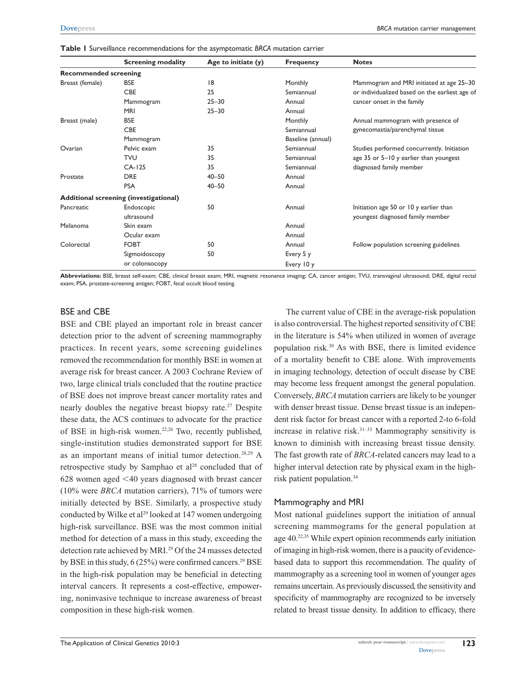|                              | <b>Screening modality</b>              | Age to initiate $(y)$ | <b>Frequency</b>  | <b>Notes</b>                                   |
|------------------------------|----------------------------------------|-----------------------|-------------------|------------------------------------------------|
| <b>Recommended screening</b> |                                        |                       |                   |                                                |
| Breast (female)              | <b>BSE</b>                             | 18                    | Monthly           | Mammogram and MRI initiated at age 25-30       |
|                              | <b>CBE</b>                             | 25                    | Semiannual        | or individualized based on the earliest age of |
|                              | Mammogram                              | $25 - 30$             | Annual            | cancer onset in the family                     |
|                              | <b>MRI</b>                             | $25 - 30$             | Annual            |                                                |
| Breast (male)                | <b>BSE</b>                             |                       | Monthly           | Annual mammogram with presence of              |
|                              | <b>CBE</b>                             |                       | Semiannual        | gynecomastia/parenchymal tissue                |
|                              | Mammogram                              |                       | Baseline (annual) |                                                |
| Ovarian                      | Pelvic exam                            | 35                    | Semiannual        | Studies performed concurrently. Initiation     |
|                              | <b>TVU</b>                             | 35                    | Semiannual        | age 35 or 5–10 y earlier than youngest         |
|                              | $CA-125$                               | 35                    | Semiannual        | diagnosed family member                        |
| Prostate                     | <b>DRE</b>                             | $40 - 50$             | Annual            |                                                |
|                              | <b>PSA</b>                             | $40 - 50$             | Annual            |                                                |
|                              | Additional screening (investigational) |                       |                   |                                                |
| Pancreatic                   | Endoscopic                             | 50                    | Annual            | Initiation age 50 or 10 y earlier than         |
|                              | ultrasound                             |                       |                   | youngest diagnosed family member               |
| Melanoma                     | Skin exam                              |                       | Annual            |                                                |
|                              | Ocular exam                            |                       | Annual            |                                                |
| Colorectal                   | <b>FOBT</b>                            | 50                    | Annual            | Follow population screening guidelines         |
|                              | Sigmoidoscopy                          | 50                    | Every 5 y         |                                                |
|                              | or colonsocopy                         |                       | Every 10 y        |                                                |

**Table 1** Surveillance recommendations for the asymptomatic *BRCA* mutation carrier

**Abbreviations:** BSE, breast self-exam; CBE, clinical breast exam; MRI, magnetic resonance imaging; CA, cancer antigen; TVU, transvaginal ultrasound; DRE, digital rectal exam; PSA, prostate-screening antigen; FOBT, fecal occult blood testing.

#### BSE and CBE

BSE and CBE played an important role in breast cancer detection prior to the advent of screening mammography practices. In recent years, some screening guidelines removed the recommendation for monthly BSE in women at average risk for breast cancer. A 2003 Cochrane Review of two, large clinical trials concluded that the routine practice of BSE does not improve breast cancer mortality rates and nearly doubles the negative breast biopsy rate.27 Despite these data, the ACS continues to advocate for the practice of BSE in high-risk women.<sup>22,26</sup> Two, recently published, single-institution studies demonstrated support for BSE as an important means of initial tumor detection.28,29 A retrospective study by Samphao et  $al<sup>28</sup>$  concluded that of  $628$  women aged  $\leq 40$  years diagnosed with breast cancer (10% were *BRCA* mutation carriers), 71% of tumors were initially detected by BSE. Similarly, a prospective study conducted by Wilke et al<sup>29</sup> looked at 147 women undergoing high-risk surveillance. BSE was the most common initial method for detection of a mass in this study, exceeding the detection rate achieved by MRI.29 Of the 24 masses detected by BSE in this study,  $6(25%)$  were confirmed cancers.<sup>29</sup> BSE in the high-risk population may be beneficial in detecting interval cancers. It represents a cost-effective, empowering, noninvasive technique to increase awareness of breast composition in these high-risk women.

The current value of CBE in the average-risk population is also controversial. The highest reported sensitivity of CBE in the literature is 54% when utilized in women of average population risk.30 As with BSE, there is limited evidence of a mortality benefit to CBE alone. With improvements in imaging technology, detection of occult disease by CBE may become less frequent amongst the general population. Conversely, *BRCA* mutation carriers are likely to be younger with denser breast tissue. Dense breast tissue is an independent risk factor for breast cancer with a reported 2-to 6-fold increase in relative risk.<sup>31-33</sup> Mammography sensitivity is known to diminish with increasing breast tissue density. The fast growth rate of *BRCA*-related cancers may lead to a higher interval detection rate by physical exam in the highrisk patient population.34

#### Mammography and MRI

Most national guidelines support the initiation of annual screening mammograms for the general population at age 40.22,35 While expert opinion recommends early initiation of imaging in high-risk women, there is a paucity of evidencebased data to support this recommendation. The quality of mammography as a screening tool in women of younger ages remains uncertain. As previously discussed, the sensitivity and specificity of mammography are recognized to be inversely related to breast tissue density. In addition to efficacy, there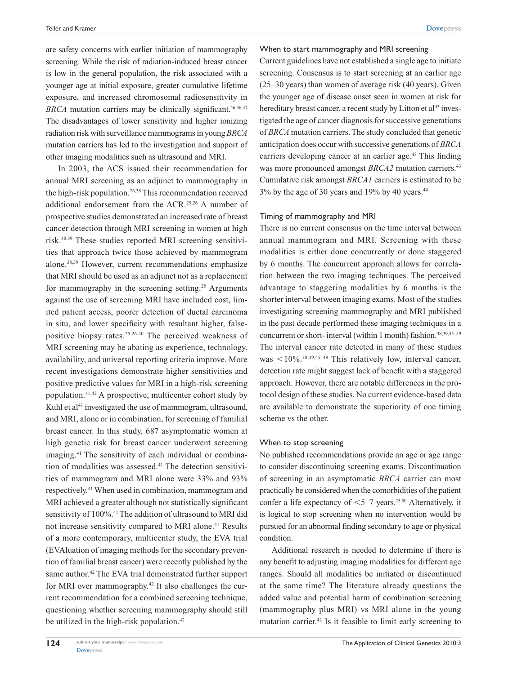are safety concerns with earlier initiation of mammography screening. While the risk of radiation-induced breast cancer is low in the general population, the risk associated with a younger age at initial exposure, greater cumulative lifetime exposure, and increased chromosomal radiosensitivity in *BRCA* mutation carriers may be clinically significant.<sup>26,36,37</sup> The disadvantages of lower sensitivity and higher ionizing radiation risk with surveillance mammograms in young *BRCA* mutation carriers has led to the investigation and support of other imaging modalities such as ultrasound and MRI.

In 2003, the ACS issued their recommendation for annual MRI screening as an adjunct to mammography in the high-risk population.<sup>26,38</sup> This recommendation received additional endorsement from the ACR.25,26 A number of prospective studies demonstrated an increased rate of breast cancer detection through MRI screening in women at high risk.38,39 These studies reported MRI screening sensitivities that approach twice those achieved by mammogram alone.38,39 However, current recommendations emphasize that MRI should be used as an adjunct not as a replacement for mammography in the screening setting.<sup>25</sup> Arguments against the use of screening MRI have included cost, limited patient access, poorer detection of ductal carcinoma in situ, and lower specificity with resultant higher, falsepositive biopsy rates.25,26,40 The perceived weakness of MRI screening may be abating as experience, technology, availability, and universal reporting criteria improve. More recent investigations demonstrate higher sensitivities and positive predictive values for MRI in a high-risk screening population.41,42 A prospective, multicenter cohort study by Kuhl et  $a^{14}$  investigated the use of mammogram, ultrasound, and MRI, alone or in combination, for screening of familial breast cancer. In this study, 687 asymptomatic women at high genetic risk for breast cancer underwent screening imaging.41 The sensitivity of each individual or combination of modalities was assessed.<sup>41</sup> The detection sensitivities of mammogram and MRI alone were 33% and 93% respectively.41 When used in combination, mammogram and MRI achieved a greater although not statistically significant sensitivity of 100%.<sup>41</sup> The addition of ultrasound to MRI did not increase sensitivity compared to MRI alone.<sup>41</sup> Results of a more contemporary, multicenter study, the EVA trial (EVAluation of imaging methods for the secondary prevention of familial breast cancer) were recently published by the same author.<sup>42</sup> The EVA trial demonstrated further support for MRI over mammography.<sup>42</sup> It also challenges the current recommendation for a combined screening technique, questioning whether screening mammography should still be utilized in the high-risk population.<sup>42</sup>

Current guidelines have not established a single age to initiate screening. Consensus is to start screening at an earlier age (25–30 years) than women of average risk (40 years). Given the younger age of disease onset seen in women at risk for hereditary breast cancer, a recent study by Litton et al<sup>43</sup> investigated the age of cancer diagnosis for successive generations of *BRCA* mutation carriers. The study concluded that genetic anticipation does occur with successive generations of *BRCA* carriers developing cancer at an earlier age.<sup>43</sup> This finding was more pronounced amongst *BRCA2* mutation carriers.<sup>43</sup> Cumulative risk amongst *BRCA1* carriers is estimated to be 3% by the age of 30 years and 19% by 40 years.44

#### Timing of mammography and MRI

There is no current consensus on the time interval between annual mammogram and MRI. Screening with these modalities is either done concurrently or done staggered by 6 months. The concurrent approach allows for correlation between the two imaging techniques. The perceived advantage to staggering modalities by 6 months is the shorter interval between imaging exams. Most of the studies investigating screening mammography and MRI published in the past decade performed these imaging techniques in a concurrent or short- interval (within 1 month) fashion.<sup>38,39,45-49</sup> The interval cancer rate detected in many of these studies was  $\leq 10\%$ .<sup>38,39,45–49</sup> This relatively low, interval cancer, detection rate might suggest lack of benefit with a staggered approach. However, there are notable differences in the protocol design of these studies. No current evidence-based data are available to demonstrate the superiority of one timing scheme vs the other.

#### When to stop screening

No published recommendations provide an age or age range to consider discontinuing screening exams. Discontinuation of screening in an asymptomatic *BRCA* carrier can most practically be considered when the comorbidities of the patient confer a life expectancy of  $\leq 5-7$  years.<sup>25,50</sup> Alternatively, it is logical to stop screening when no intervention would be pursued for an abnormal finding secondary to age or physical condition.

Additional research is needed to determine if there is any benefit to adjusting imaging modalities for different age ranges. Should all modalities be initiated or discontinued at the same time? The literature already questions the added value and potential harm of combination screening (mammography plus MRI) vs MRI alone in the young mutation carrier.42 Is it feasible to limit early screening to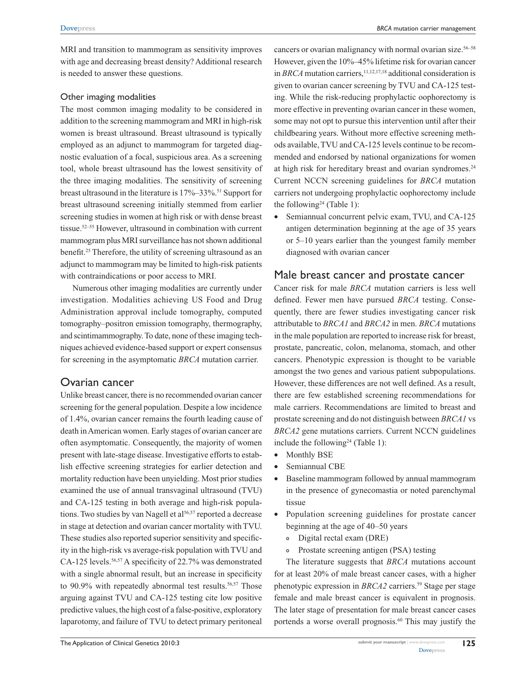MRI and transition to mammogram as sensitivity improves with age and decreasing breast density? Additional research is needed to answer these questions.

#### Other imaging modalities

The most common imaging modality to be considered in addition to the screening mammogram and MRI in high-risk women is breast ultrasound. Breast ultrasound is typically employed as an adjunct to mammogram for targeted diagnostic evaluation of a focal, suspicious area. As a screening tool, whole breast ultrasound has the lowest sensitivity of the three imaging modalities. The sensitivity of screening breast ultrasound in the literature is 17%–33%.51 Support for breast ultrasound screening initially stemmed from earlier screening studies in women at high risk or with dense breast tissue.<sup>52–55</sup> However, ultrasound in combination with current mammogram plus MRI surveillance has not shown additional benefit.<sup>25</sup> Therefore, the utility of screening ultrasound as an adjunct to mammogram may be limited to high-risk patients with contraindications or poor access to MRI.

Numerous other imaging modalities are currently under investigation. Modalities achieving US Food and Drug Administration approval include tomography, computed tomography–positron emission tomography, thermography, and scintimammography. To date, none of these imaging techniques achieved evidence-based support or expert consensus for screening in the asymptomatic *BRCA* mutation carrier.

## Ovarian cancer

Unlike breast cancer, there is no recommended ovarian cancer screening for the general population. Despite a low incidence of 1.4%, ovarian cancer remains the fourth leading cause of death in American women. Early stages of ovarian cancer are often asymptomatic. Consequently, the majority of women present with late-stage disease. Investigative efforts to establish effective screening strategies for earlier detection and mortality reduction have been unyielding. Most prior studies examined the use of annual transvaginal ultrasound (TVU) and CA-125 testing in both average and high-risk populations. Two studies by van Nagell et al<sup>56,57</sup> reported a decrease in stage at detection and ovarian cancer mortality with TVU. These studies also reported superior sensitivity and specificity in the high-risk vs average-risk population with TVU and CA-125 levels.<sup>56,57</sup> A specificity of 22.7% was demonstrated with a single abnormal result, but an increase in specificity to 90.9% with repeatedly abnormal test results.<sup>56,57</sup> Those arguing against TVU and CA-125 testing cite low positive predictive values, the high cost of a false-positive, exploratory laparotomy, and failure of TVU to detect primary peritoneal

cancers or ovarian malignancy with normal ovarian size.<sup>56–58</sup> However, given the 10%–45% lifetime risk for ovarian cancer in *BRCA* mutation carriers,<sup>11,12,17,18</sup> additional consideration is given to ovarian cancer screening by TVU and CA-125 testing. While the risk-reducing prophylactic oophorectomy is more effective in preventing ovarian cancer in these women, some may not opt to pursue this intervention until after their childbearing years. Without more effective screening methods available, TVU and CA-125 levels continue to be recommended and endorsed by national organizations for women at high risk for hereditary breast and ovarian syndromes.<sup>24</sup> Current NCCN screening guidelines for *BRCA* mutation carriers not undergoing prophylactic oophorectomy include the following<sup>24</sup> (Table 1):

• Semiannual concurrent pelvic exam, TVU, and CA-125 antigen determination beginning at the age of 35 years or 5–10 years earlier than the youngest family member diagnosed with ovarian cancer

### Male breast cancer and prostate cancer

Cancer risk for male *BRCA* mutation carriers is less well defined. Fewer men have pursued *BRCA* testing. Consequently, there are fewer studies investigating cancer risk attributable to *BRCA1* and *BRCA2* in men. *BRCA* mutations in the male population are reported to increase risk for breast, prostate, pancreatic, colon, melanoma, stomach, and other cancers. Phenotypic expression is thought to be variable amongst the two genes and various patient subpopulations. However, these differences are not well defined. As a result, there are few established screening recommendations for male carriers. Recommendations are limited to breast and prostate screening and do not distinguish between *BRCA1* vs *BRCA2* gene mutations carriers. Current NCCN guidelines include the following<sup>24</sup> (Table 1):

- Monthly BSE
- Semiannual CBE
- Baseline mammogram followed by annual mammogram in the presence of gynecomastia or noted parenchymal tissue
- Population screening guidelines for prostate cancer beginning at the age of 40–50 years
	- º Digital rectal exam (DRE)
	- º Prostate screening antigen (PSA) testing

The literature suggests that *BRCA* mutations account for at least 20% of male breast cancer cases, with a higher phenotypic expression in *BRCA2* carriers.<sup>59</sup> Stage per stage female and male breast cancer is equivalent in prognosis. The later stage of presentation for male breast cancer cases portends a worse overall prognosis.<sup>60</sup> This may justify the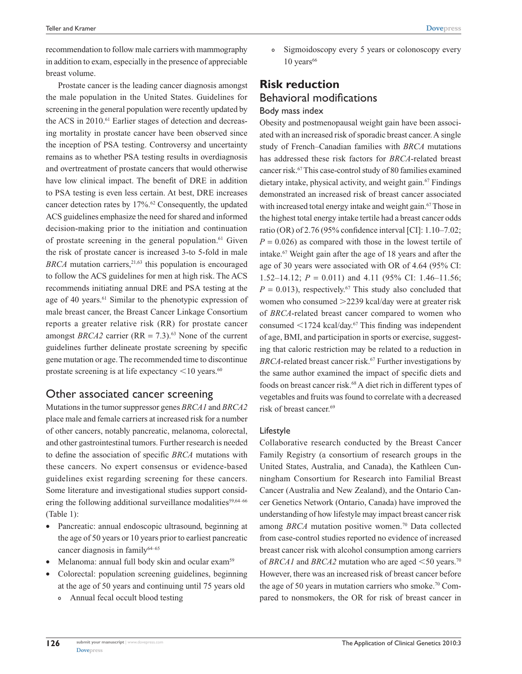recommendation to follow male carriers with mammography in addition to exam, especially in the presence of appreciable breast volume.

Prostate cancer is the leading cancer diagnosis amongst the male population in the United States. Guidelines for screening in the general population were recently updated by the ACS in 2010.<sup>61</sup> Earlier stages of detection and decreasing mortality in prostate cancer have been observed since the inception of PSA testing. Controversy and uncertainty remains as to whether PSA testing results in overdiagnosis and overtreatment of prostate cancers that would otherwise have low clinical impact. The benefit of DRE in addition to PSA testing is even less certain. At best, DRE increases cancer detection rates by 17%.62 Consequently, the updated ACS guidelines emphasize the need for shared and informed decision-making prior to the initiation and continuation of prostate screening in the general population. $61$  Given the risk of prostate cancer is increased 3-to 5-fold in male *BRCA* mutation carriers,  $2^{1,63}$  this population is encouraged to follow the ACS guidelines for men at high risk. The ACS recommends initiating annual DRE and PSA testing at the age of 40 years.<sup>61</sup> Similar to the phenotypic expression of male breast cancer, the Breast Cancer Linkage Consortium reports a greater relative risk (RR) for prostate cancer amongst *BRCA2* carrier ( $RR = 7.3$ ).<sup>63</sup> None of the current guidelines further delineate prostate screening by specific gene mutation or age. The recommended time to discontinue prostate screening is at life expectancy  $\leq 10$  years.<sup>60</sup>

### Other associated cancer screening

Mutations in the tumor suppressor genes *BRCA1* and *BRCA2* place male and female carriers at increased risk for a number of other cancers, notably pancreatic, melanoma, colorectal, and other gastrointestinal tumors. Further research is needed to define the association of specific *BRCA* mutations with these cancers. No expert consensus or evidence-based guidelines exist regarding screening for these cancers. Some literature and investigational studies support considering the following additional surveillance modalities<sup>59,64–66</sup> (Table 1):

- • Pancreatic: annual endoscopic ultrasound, beginning at the age of 50 years or 10 years prior to earliest pancreatic cancer diagnosis in family $64-65$
- Melanoma: annual full body skin and ocular exam<sup>59</sup>
- Colorectal: population screening guidelines, beginning at the age of 50 years and continuing until 75 years old
	- º Annual fecal occult blood testing

º Sigmoidoscopy every 5 years or colonoscopy every  $10$  years<sup>66</sup>

## **Risk reduction** Behavioral modifications Body mass index

Obesity and postmenopausal weight gain have been associated with an increased risk of sporadic breast cancer. A single study of French–Canadian families with *BRCA* mutations has addressed these risk factors for *BRCA*-related breast cancer risk.67 This case-control study of 80 families examined dietary intake, physical activity, and weight gain.<sup>67</sup> Findings demonstrated an increased risk of breast cancer associated with increased total energy intake and weight gain.<sup>67</sup> Those in the highest total energy intake tertile had a breast cancer odds ratio (OR) of 2.76 (95% confidence interval [CI]: 1.10–7.02;  $P = 0.026$ ) as compared with those in the lowest tertile of intake.67 Weight gain after the age of 18 years and after the age of 30 years were associated with OR of 4.64 (95% CI: 1.52–14.12; *P* = 0.011) and 4.11 (95% CI: 1.46–11.56;  $P = 0.013$ ), respectively.<sup>67</sup> This study also concluded that women who consumed  $>2239$  kcal/day were at greater risk of *BRCA*-related breast cancer compared to women who consumed  $\leq$ 1724 kcal/day.<sup>67</sup> This finding was independent of age, BMI, and participation in sports or exercise, suggesting that caloric restriction may be related to a reduction in *BRCA*-related breast cancer risk.<sup>67</sup> Further investigations by the same author examined the impact of specific diets and foods on breast cancer risk.68 A diet rich in different types of vegetables and fruits was found to correlate with a decreased risk of breast cancer.69

#### Lifestyle

Collaborative research conducted by the Breast Cancer Family Registry (a consortium of research groups in the United States, Australia, and Canada), the Kathleen Cunningham Consortium for Research into Familial Breast Cancer (Australia and New Zealand), and the Ontario Cancer Genetics Network (Ontario, Canada) have improved the understanding of how lifestyle may impact breast cancer risk among *BRCA* mutation positive women.<sup>70</sup> Data collected from case-control studies reported no evidence of increased breast cancer risk with alcohol consumption among carriers of *BRCA1* and *BRCA2* mutation who are aged  $\leq$ 50 years.<sup>70</sup> However, there was an increased risk of breast cancer before the age of 50 years in mutation carriers who smoke.<sup>70</sup> Compared to nonsmokers, the OR for risk of breast cancer in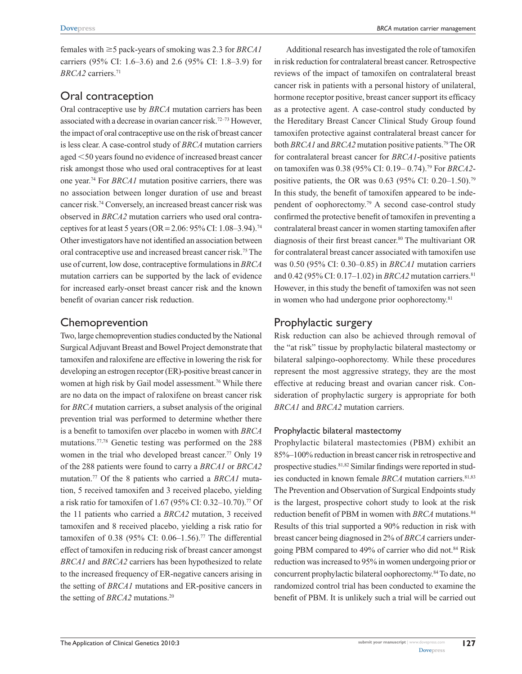females with  $\geq$  5 pack-years of smoking was 2.3 for *BRCA1* carriers (95% CI: 1.6–3.6) and 2.6 (95% CI: 1.8–3.9) for *BRCA2* carriers.71

## Oral contraception

Oral contraceptive use by *BRCA* mutation carriers has been associated with a decrease in ovarian cancer risk.72–73 However, the impact of oral contraceptive use on the risk of breast cancer is less clear. A case-control study of *BRCA* mutation carriers aged  $\leq$ 50 years found no evidence of increased breast cancer risk amongst those who used oral contraceptives for at least one year.74 For *BRCA1* mutation positive carriers, there was no association between longer duration of use and breast cancer risk.74 Conversely, an increased breast cancer risk was observed in *BRCA2* mutation carriers who used oral contraceptives for at least 5 years (OR = 2.06: 95% CI: 1.08–3.94).<sup>74</sup> Other investigators have not identified an association between oral contraceptive use and increased breast cancer risk.75 The use of current, low dose, contraceptive formulations in *BRCA* mutation carriers can be supported by the lack of evidence for increased early-onset breast cancer risk and the known benefit of ovarian cancer risk reduction.

## Chemoprevention

Two, large chemoprevention studies conducted by the National Surgical Adjuvant Breast and Bowel Project demonstrate that tamoxifen and raloxifene are effective in lowering the risk for developing an estrogen receptor (ER)-positive breast cancer in women at high risk by Gail model assessment.<sup>76</sup> While there are no data on the impact of raloxifene on breast cancer risk for *BRCA* mutation carriers, a subset analysis of the original prevention trial was performed to determine whether there is a benefit to tamoxifen over placebo in women with *BRCA* mutations.77,78 Genetic testing was performed on the 288 women in the trial who developed breast cancer.<sup>77</sup> Only 19 of the 288 patients were found to carry a *BRCA1* or *BRCA2* mutation.77 Of the 8 patients who carried a *BRCA1* mutation, 5 received tamoxifen and 3 received placebo, yielding a risk ratio for tamoxifen of 1.67 (95% CI: 0.32–10.70).77 Of the 11 patients who carried a *BRCA2* mutation, 3 received tamoxifen and 8 received placebo, yielding a risk ratio for tamoxifen of 0.38 (95% CI: 0.06–1.56).<sup>77</sup> The differential effect of tamoxifen in reducing risk of breast cancer amongst *BRCA1* and *BRCA2* carriers has been hypothesized to relate to the increased frequency of ER-negative cancers arising in the setting of *BRCA1* mutations and ER-positive cancers in the setting of *BRCA2* mutations.<sup>20</sup>

Additional research has investigated the role of tamoxifen in risk reduction for contralateral breast cancer. Retrospective reviews of the impact of tamoxifen on contralateral breast cancer risk in patients with a personal history of unilateral, hormone receptor positive, breast cancer support its efficacy as a protective agent. A case-control study conducted by the Hereditary Breast Cancer Clinical Study Group found tamoxifen protective against contralateral breast cancer for both *BRCA1* and *BRCA2* mutation positive patients.79 The OR for contralateral breast cancer for *BRCA1*-positive patients on tamoxifen was 0.38 (95% CI: 0.19– 0.74).79 For *BRCA2* positive patients, the OR was 0.63 (95% CI: 0.20–1.50).<sup>79</sup> In this study, the benefit of tamoxifen appeared to be independent of oophorectomy.79 A second case-control study confirmed the protective benefit of tamoxifen in preventing a contralateral breast cancer in women starting tamoxifen after diagnosis of their first breast cancer.80 The multivariant OR for contralateral breast cancer associated with tamoxifen use was 0.50 (95% CI: 0.30–0.85) in *BRCA1* mutation carriers and 0.42 (95% CI: 0.17-1.02) in *BRCA2* mutation carriers.<sup>81</sup> However, in this study the benefit of tamoxifen was not seen in women who had undergone prior oophorectomy.<sup>81</sup>

## Prophylactic surgery

Risk reduction can also be achieved through removal of the "at risk" tissue by prophylactic bilateral mastectomy or bilateral salpingo-oophorectomy. While these procedures represent the most aggressive strategy, they are the most effective at reducing breast and ovarian cancer risk. Consideration of prophylactic surgery is appropriate for both *BRCA1* and *BRCA2* mutation carriers.

#### Prophylactic bilateral mastectomy

Prophylactic bilateral mastectomies (PBM) exhibit an 85%–100% reduction in breast cancer risk in retrospective and prospective studies.81,82 Similar findings were reported in studies conducted in known female *BRCA* mutation carriers.<sup>81,83</sup> The Prevention and Observation of Surgical Endpoints study is the largest, prospective cohort study to look at the risk reduction benefit of PBM in women with *BRCA* mutations.<sup>84</sup> Results of this trial supported a 90% reduction in risk with breast cancer being diagnosed in 2% of *BRCA* carriers undergoing PBM compared to 49% of carrier who did not.84 Risk reduction was increased to 95% in women undergoing prior or concurrent prophylactic bilateral oophorectomy.84 To date, no randomized control trial has been conducted to examine the benefit of PBM. It is unlikely such a trial will be carried out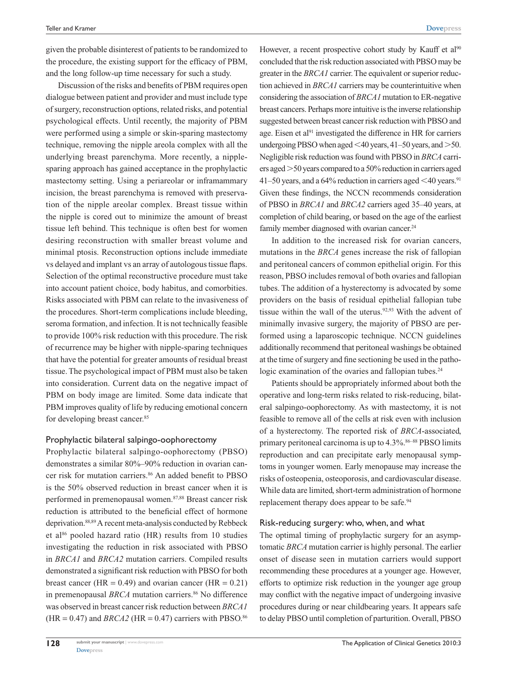given the probable disinterest of patients to be randomized to the procedure, the existing support for the efficacy of PBM, and the long follow-up time necessary for such a study.

Discussion of the risks and benefits of PBM requires open dialogue between patient and provider and must include type of surgery, reconstruction options, related risks, and potential psychological effects. Until recently, the majority of PBM were performed using a simple or skin-sparing mastectomy technique, removing the nipple areola complex with all the underlying breast parenchyma. More recently, a nipplesparing approach has gained acceptance in the prophylactic mastectomy setting. Using a periareolar or inframammary incision, the breast parenchyma is removed with preservation of the nipple areolar complex. Breast tissue within the nipple is cored out to minimize the amount of breast tissue left behind. This technique is often best for women desiring reconstruction with smaller breast volume and minimal ptosis. Reconstruction options include immediate vs delayed and implant vs an array of autologous tissue flaps. Selection of the optimal reconstructive procedure must take into account patient choice, body habitus, and comorbities. Risks associated with PBM can relate to the invasiveness of the procedures. Short-term complications include bleeding, seroma formation, and infection. It is not technically feasible to provide 100% risk reduction with this procedure. The risk of recurrence may be higher with nipple-sparing techniques that have the potential for greater amounts of residual breast tissue. The psychological impact of PBM must also be taken into consideration. Current data on the negative impact of PBM on body image are limited. Some data indicate that PBM improves quality of life by reducing emotional concern for developing breast cancer.<sup>85</sup>

#### Prophylactic bilateral salpingo-oophorectomy

Prophylactic bilateral salpingo-oophorectomy (PBSO) demonstrates a similar 80%–90% reduction in ovarian cancer risk for mutation carriers.<sup>86</sup> An added benefit to PBSO is the 50% observed reduction in breast cancer when it is performed in premenopausal women.87,88 Breast cancer risk reduction is attributed to the beneficial effect of hormone deprivation.<sup>88,89</sup> A recent meta-analysis conducted by Rebbeck et al<sup>86</sup> pooled hazard ratio (HR) results from 10 studies investigating the reduction in risk associated with PBSO in *BRCA1* and *BRCA2* mutation carriers. Compiled results demonstrated a significant risk reduction with PBSO for both breast cancer (HR =  $0.49$ ) and ovarian cancer (HR =  $0.21$ ) in premenopausal *BRCA* mutation carriers.<sup>86</sup> No difference was observed in breast cancer risk reduction between *BRCA1*  $(HR = 0.47)$  and *BRCA2* (HR = 0.47) carriers with PBSO.<sup>86</sup> However, a recent prospective cohort study by Kauff et al<sup>90</sup> concluded that the risk reduction associated with PBSO may be greater in the *BRCA1* carrier. The equivalent or superior reduction achieved in *BRCA1* carriers may be counterintuitive when considering the association of *BRCA1* mutation to ER-negative breast cancers. Perhaps more intuitive is the inverse relationship suggested between breast cancer risk reduction with PBSO and age. Eisen et al<sup>91</sup> investigated the difference in HR for carriers undergoing PBSO when aged  $<$  40 years, 41–50 years, and  $>$ 50. Negligible risk reduction was found with PBSO in *BRCA* carriers aged  $>$  50 years compared to a 50% reduction in carriers aged 41–50 years, and a 64% reduction in carriers aged  $\leq 40$  years.<sup>91</sup> Given these findings, the NCCN recommends consideration of PBSO in *BRCA1* and *BRCA2* carriers aged 35–40 years, at completion of child bearing, or based on the age of the earliest family member diagnosed with ovarian cancer.<sup>24</sup>

In addition to the increased risk for ovarian cancers, mutations in the *BRCA* genes increase the risk of fallopian and peritoneal cancers of common epithelial origin. For this reason, PBSO includes removal of both ovaries and fallopian tubes. The addition of a hysterectomy is advocated by some providers on the basis of residual epithelial fallopian tube tissue within the wall of the uterus.<sup>92,93</sup> With the advent of minimally invasive surgery, the majority of PBSO are performed using a laparoscopic technique. NCCN guidelines additionally recommend that peritoneal washings be obtained at the time of surgery and fine sectioning be used in the pathologic examination of the ovaries and fallopian tubes.<sup>24</sup>

Patients should be appropriately informed about both the operative and long-term risks related to risk-reducing, bilateral salpingo-oophorectomy. As with mastectomy, it is not feasible to remove all of the cells at risk even with inclusion of a hysterectomy. The reported risk of *BRCA*-associated, primary peritoneal carcinoma is up to  $4.3\%$ .<sup>86–88</sup> PBSO limits reproduction and can precipitate early menopausal symptoms in younger women. Early menopause may increase the risks of osteopenia, osteoporosis, and cardiovascular disease. While data are limited, short-term administration of hormone replacement therapy does appear to be safe.<sup>94</sup>

#### Risk-reducing surgery: who, when, and what

The optimal timing of prophylactic surgery for an asymptomatic *BRCA* mutation carrier is highly personal. The earlier onset of disease seen in mutation carriers would support recommending these procedures at a younger age. However, efforts to optimize risk reduction in the younger age group may conflict with the negative impact of undergoing invasive procedures during or near childbearing years. It appears safe to delay PBSO until completion of parturition. Overall, PBSO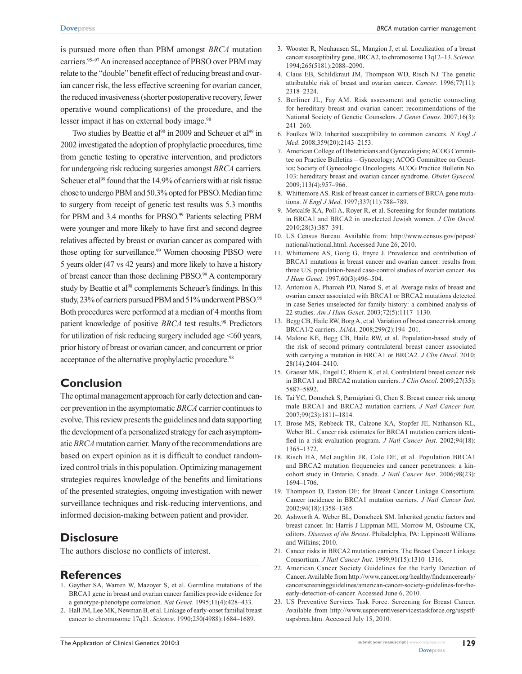is pursued more often than PBM amongst *BRCA* mutation carriers.<sup>95–97</sup> An increased acceptance of PBSO over PBM may relate to the "double" benefit effect of reducing breast and ovarian cancer risk, the less effective screening for ovarian cancer, the reduced invasiveness (shorter postoperative recovery, fewer operative wound complications) of the procedure, and the lesser impact it has on external body image.<sup>98</sup>

Two studies by Beattie et al<sup>98</sup> in 2009 and Scheuer et al<sup>99</sup> in 2002 investigated the adoption of prophylactic procedures, time from genetic testing to operative intervention, and predictors for undergoing risk reducing surgeries amongst *BRCA* carriers. Scheuer et al<sup>99</sup> found that the 14.9% of carriers with at risk tissue chose to undergo PBM and 50.3% opted for PBSO. Median time to surgery from receipt of genetic test results was 5.3 months for PBM and 3.4 months for PBSO.<sup>99</sup> Patients selecting PBM were younger and more likely to have first and second degree relatives affected by breast or ovarian cancer as compared with those opting for surveillance.<sup>99</sup> Women choosing PBSO were 5 years older (47 vs 42 years) and more likely to have a history of breast cancer than those declining PBSO.<sup>99</sup> A contemporary study by Beattie et al<sup>98</sup> complements Scheuer's findings. In this study, 23% of carriers pursued PBM and 51% underwent PBSO.98 Both procedures were performed at a median of 4 months from patient knowledge of positive *BRCA* test results.<sup>98</sup> Predictors for utilization of risk reducing surgery included age  $<60$  years, prior history of breast or ovarian cancer, and concurrent or prior acceptance of the alternative prophylactic procedure.<sup>98</sup>

## **Conclusion**

The optimal management approach for early detection and cancer prevention in the asymptomatic *BRCA* carrier continues to evolve. This review presents the guidelines and data supporting the development of a personalized strategy for each asymptomatic *BRCA* mutation carrier. Many of the recommendations are based on expert opinion as it is difficult to conduct randomized control trials in this population. Optimizing management strategies requires knowledge of the benefits and limitations of the presented strategies, ongoing investigation with newer surveillance techniques and risk-reducing interventions, and informed decision-making between patient and provider.

## **Disclosure**

The authors disclose no conflicts of interest.

#### **References**

- 1. Gayther SA, Warren W, Mazoyer S, et al. Germline mutations of the BRCA1 gene in breast and ovarian cancer families provide evidence for a genotype-phenotype correlation. *Nat Genet*. 1995;11(4):428–433.
- 2. Hall JM, Lee MK, Newman B, et al. Linkage of early-onset familial breast cancer to chromosome 17q21. *Science*. 1990;250(4988):1684–1689.
- 3. Wooster R, Neuhausen SL, Mangion J, et al. Localization of a breast cancer susceptibility gene, BRCA2, to chromosome 13q12–13. *Science*. 1994;265(5181):2088–2090.
- 4. Claus EB, Schildkraut JM, Thompson WD, Risch NJ. The genetic attributable risk of breast and ovarian cancer. *Cancer*. 1996;77(11): 2318–2324.
- 5. Berliner JL, Fay AM. Risk assessment and genetic counseling for hereditary breast and ovarian cancer: recommendations of the National Society of Genetic Counselors. *J Genet Couns*. 2007;16(3): 241–260.
- 6. Foulkes WD. Inherited susceptibility to common cancers. *N Engl J Med*. 2008;359(20):2143–2153.
- 7. American College of Obstetricians and Gynecologists; ACOG Committee on Practice Bulletins – Gynecology; ACOG Committee on Genetics; Society of Gynecologic Oncologists. ACOG Practice Bulletin No. 103: hereditary breast and ovarian cancer syndrome. *Obstet Gynecol*. 2009;113(4):957–966.
- 8. Whittemore AS. Risk of breast cancer in carriers of BRCA gene mutations. *N Engl J Med*. 1997;337(11):788–789.
- 9. Metcalfe KA, Poll A, Royer R, et al. Screening for founder mutations in BRCA1 and BRCA2 in unselected Jewish women. *J Clin Oncol*. 2010;28(3):387–391.
- 10. US Census Bureau. Available from: [http://www.census.gov/popest/](http://www.census.gov/popest/national/national.html) [national/national.html](http://www.census.gov/popest/national/national.html). Accessed June 26, 2010.
- 11. Whittemore AS, Gong G, Itnyre J. Prevalence and contribution of BRCA1 mutations in breast cancer and ovarian cancer: results from three U.S. population-based case-control studies of ovarian cancer. *Am J Hum Genet*. 1997;60(3):496–504.
- 12. Antoniou A, Pharoah PD, Narod S, et al. Average risks of breast and ovarian cancer associated with BRCA1 or BRCA2 mutations detected in case Series unselected for family history: a combined analysis of 22 studies. *Am J Hum Genet*. 2003;72(5):1117–1130.
- 13. Begg CB, Haile RW, Borg A, et al. Variation of breast cancer risk among BRCA1/2 carriers. *JAMA*. 2008;299(2):194–201.
- 14. Malone KE, Begg CB, Haile RW, et al. Population-based study of the risk of second primary contralateral breast cancer associated with carrying a mutation in BRCA1 or BRCA2. *J Clin Oncol*. 2010; 28(14):2404–2410.
- 15. Graeser MK, Engel C, Rhiem K, et al. Contralateral breast cancer risk in BRCA1 and BRCA2 mutation carriers. *J Clin Oncol*. 2009;27(35): 5887–5892.
- 16. Tai YC, Domchek S, Parmigiani G, Chen S. Breast cancer risk among male BRCA1 and BRCA2 mutation carriers. *J Natl Cancer Inst*. 2007;99(23):1811–1814.
- 17. Brose MS, Rebbeck TR, Calzone KA, Stopfer JE, Nathanson KL, Weber BL. Cancer risk estimates for BRCA1 mutation carriers identified in a risk evaluation program. *J Natl Cancer Inst*. 2002;94(18): 1365–1372.
- 18. Risch HA, McLaughlin JR, Cole DE, et al. Population BRCA1 and BRCA2 mutation frequencies and cancer penetrances: a kincohort study in Ontario, Canada. *J Natl Cancer Inst*. 2006;98(23): 1694–1706.
- 19. Thompson D, Easton DF; for Breast Cancer Linkage Consortium. Cancer incidence in BRCA1 mutation carriers. *J Natl Cancer Inst*. 2002;94(18):1358–1365.
- 20. Ashworth A. Weber BL, Domcheck SM. Inherited genetic factors and breast cancer. In: Harris J Lippman ME, Morrow M, Osbourne CK, editors. *Diseases of the Breast*. Philadelphia, PA: Lippincott Williams and Wilkins; 2010.
- 21. Cancer risks in BRCA2 mutation carriers. The Breast Cancer Linkage Consortium. *J Natl Cancer Inst*. 1999;91(15):1310–1316.
- 22. American Cancer Society Guidelines for the Early Detection of Cancer. Available from [http://www.cancer.org/healthy/findcancerearly/](http://www.cancer.org/healthy/findcancerearly/�cancerscreeningguidelines/american-cancer-society-guidelines-for-the-early-detection-of-cancer) [cancerscreeningguidelines/american-cancer-society-guidelines-for-the](http://www.cancer.org/healthy/findcancerearly/�cancerscreeningguidelines/american-cancer-society-guidelines-for-the-early-detection-of-cancer)[early-detection-of-cancer.](http://www.cancer.org/healthy/findcancerearly/�cancerscreeningguidelines/american-cancer-society-guidelines-for-the-early-detection-of-cancer) Accessed June 6, 2010.
- 23. US Preventive Services Task Force. Screening for Breast Cancer. Available from [http://www.uspreventiveservicestaskforce.org/uspstf/](http://www.uspreventiveservicestaskforce.org/uspstf/uspsbrca.htm) [uspsbrca.htm](http://www.uspreventiveservicestaskforce.org/uspstf/uspsbrca.htm). Accessed July 15, 2010.

**129**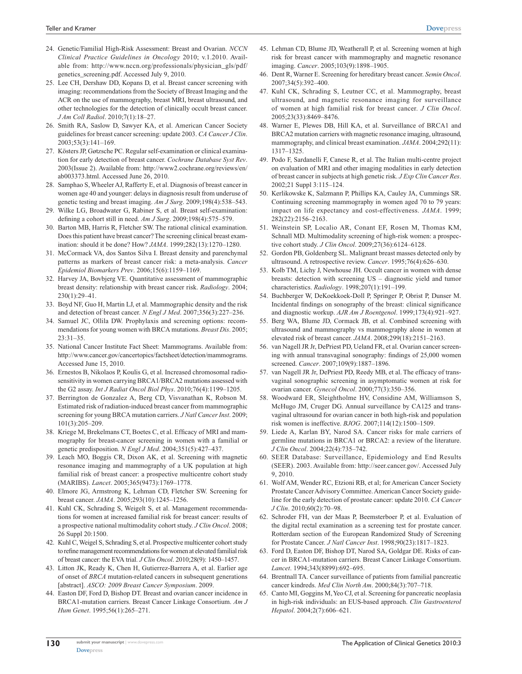- 24. Genetic/Familial High-Risk Assessment: Breast and Ovarian. *NCCN Clinical Practice Guidelines in Oncology* 2010; v.1.2010. Available from: [http://www.nccn.org/professionals/physician\\_gls/pdf/](http://www.nccn.org/professionals/physician_gls/pdf/genetics_screening.pdf) [genetics\\_screening.pdf](http://www.nccn.org/professionals/physician_gls/pdf/genetics_screening.pdf). Accessed July 9, 2010.
- 25. Lee CH, Dershaw DD, Kopans D, et al. Breast cancer screening with imaging: recommendations from the Society of Breast Imaging and the ACR on the use of mammography, breast MRI, breast ultrasound, and other technologies for the detection of clinically occult breast cancer. *J Am Coll Radiol*. 2010;7(1):18–27.
- 26. Smith RA, Saslow D, Sawyer KA, et al. American Cancer Society guidelines for breast cancer screening: update 2003. *CA Cancer J Clin*. 2003;53(3):141–169.
- 27. Kösters JP, Gøtzsche PC. Regular self-examination or clinical examination for early detection of breast cancer. *Cochrane Database Syst Rev*. 2003(Issue 2). Available from: [http://www2.cochrane.org/reviews/en/]( http://www2.cochrane.org/reviews/en/ab003373.html) [ab003373.html]( http://www2.cochrane.org/reviews/en/ab003373.html). Accessed June 26, 2010.
- 28. Samphao S, Wheeler AJ, Rafferty E, et al. Diagnosis of breast cancer in women age 40 and younger: delays in diagnosis result from underuse of genetic testing and breast imaging. *Am J Surg*. 2009;198(4):538–543.
- 29. Wilke LG, Broadwater G, Rabiner S, et al. Breast self-examination: defining a cohort still in need. *Am J Surg*. 2009;198(4):575–579.
- 30. Barton MB, Harris R, Fletcher SW. The rational clinical examination. Does this patient have breast cancer? The screening clinical breast examination: should it be done? How? *JAMA*. 1999;282(13):1270–1280.
- 31. McCormack VA, dos Santos Silva I. Breast density and parenchymal patterns as markers of breast cancer risk: a meta-analysis. *Cancer Epidemiol Biomarkers Prev*. 2006;15(6):1159–1169.
- 32. Harvey JA, Bovbjerg VE. Quantitative assessment of mammographic breast density: relationship with breast cancer risk. *Radiology*. 2004; 230(1):29–41.
- 33. Boyd NF, Guo H, Martin LJ, et al. Mammographic density and the risk and detection of breast cancer. *N Engl J Med*. 2007;356(3):227–236.
- 34. Samuel JC, Ollila DW. Prophylaxis and screening options: recommendations for young women with BRCA mutations. *Breast Dis*. 2005; 23:31–35.
- 35. National Cancer Institute Fact Sheet: Mammograms. Available from: <http://www.cancer.gov/cancertopics/factsheet/detection/mammograms>. Accessed June 15, 2010.
- 36. Ernestos B, Nikolaos P, Koulis G, et al. Increased chromosomal radiosensitivity in women carrying BRCA1/BRCA2 mutations assessed with the G2 assay. *Int J Radiat Oncol Biol Phys*. 2010;76(4):1199–1205.
- 37. Berrington de Gonzalez A, Berg CD, Visvanathan K, Robson M. Estimated risk of radiation-induced breast cancer from mammographic screening for young BRCA mutation carriers. *J Natl Cancer Inst*. 2009; 101(3):205–209.
- 38. Kriege M, Brekelmans CT, Boetes C, et al. Efficacy of MRI and mammography for breast-cancer screening in women with a familial or genetic predisposition. *N Engl J Med*. 2004;351(5):427–437.
- 39. Leach MO, Boggis CR, Dixon AK, et al. Screening with magnetic resonance imaging and mammography of a UK population at high familial risk of breast cancer: a prospective multicentre cohort study (MARIBS). *Lancet*. 2005;365(9473):1769–1778.
- 40. Elmore JG, Armstrong K, Lehman CD, Fletcher SW. Screening for breast cancer. *JAMA*. 2005;293(10):1245–1256.
- 41. Kuhl CK, Schrading S, Weigelt S, et al. Management recommendations for women at increased familial risk for breast cancer: results of a prospective national multimodality cohort study. *J Clin Oncol*. 2008; 26 Suppl 20:1500.
- 42. Kuhl C, Weigel S, Schrading S, et al. Prospective multicenter cohort study to refine management recommendations for women at elevated familial risk of breast cancer: the EVA trial. *J Clin Oncol*. 2010;28(9): 1450–1457.
- 43. Litton JK, Ready K, Chen H, Gutierrez-Barrera A, et al. Earlier age of onset of *BRCA* mutation-related cancers in subsequent generations [abstract]. *ASCO: 2009 Breast Cancer Symposium*. 2009.
- 44. Easton DF, Ford D, Bishop DT. Breast and ovarian cancer incidence in BRCA1-mutation carriers. Breast Cancer Linkage Consortium. *Am J Hum Genet*. 1995;56(1):265–271.
- 45. Lehman CD, Blume JD, Weatherall P, et al. Screening women at high risk for breast cancer with mammography and magnetic resonance imaging. *Cancer*. 2005;103(9):1898–1905.
- 46. Dent R, Warner E. Screening for hereditary breast cancer. *Semin Oncol*. 2007;34(5):392–400.
- 47. Kuhl CK, Schrading S, Leutner CC, et al. Mammography, breast ultrasound, and magnetic resonance imaging for surveillance of women at high familial risk for breast cancer. *J Clin Oncol*. 2005;23(33):8469–8476.
- 48. Warner E, Plewes DB, Hill KA, et al. Surveillance of BRCA1 and BRCA2 mutation carriers with magnetic resonance imaging, ultrasound, mammography, and clinical breast examination. *JAMA*. 2004;292(11): 1317–1325.
- 49. Podo F, Sardanelli F, Canese R, et al. The Italian multi-centre project on evaluation of MRI and other imaging modalities in early detection of breast cancer in subjects at high genetic risk. *J Exp Clin Cancer Res*. 2002;21 Suppl 3:115–124.
- 50. Kerlikowske K, Salzmann P, Phillips KA, Cauley JA, Cummings SR. Continuing screening mammography in women aged 70 to 79 years: impact on life expectancy and cost-effectiveness. *JAMA*. 1999; 282(22):2156–2163.
- 51. Weinstein SP, Localio AR, Conant EF, Rosen M, Thomas KM, Schnall MD. Multimodality screening of high-risk women: a prospective cohort study. *J Clin Oncol*. 2009;27(36):6124–6128.
- 52. Gordon PB, Goldenberg SL. Malignant breast masses detected only by ultrasound. A retrospective review. *Cancer*. 1995;76(4):626–630.
- 53. Kolb TM, Lichy J, Newhouse JH. Occult cancer in women with dense breasts: detection with screening US – diagnostic yield and tumor characteristics. *Radiology*. 1998;207(1):191–199.
- 54. Buchberger W, DeKoekkoek-Doll P, Springer P, Obrist P, Dunser M. Incidental findings on sonography of the breast: clinical significance and diagnostic workup. *AJR Am J Roentgenol*. 1999;173(4):921–927.
- 55. Berg WA, Blume JD, Cormack JB, et al. Combined screening with ultrasound and mammography vs mammography alone in women at elevated risk of breast cancer. *JAMA*. 2008;299(18):2151–2163.
- 56. van Nagell JR Jr, DePriest PD, Ueland FR, et al. Ovarian cancer screening with annual transvaginal sonography: findings of 25,000 women screened. *Cancer*. 2007;109(9):1887–1896.
- 57. van Nagell JR Jr, DePriest PD, Reedy MB, et al. The efficacy of transvaginal sonographic screening in asymptomatic women at risk for ovarian cancer. *Gynecol Oncol*. 2000;77(3):350–356.
- 58. Woodward ER, Sleightholme HV, Considine AM, Williamson S, McHugo JM, Cruger DG. Annual surveillance by CA125 and transvaginal ultrasound for ovarian cancer in both high-risk and population risk women is ineffective. *BJOG*. 2007;114(12):1500–1509.
- 59. Liede A, Karlan BY, Narod SA. Cancer risks for male carriers of germline mutations in BRCA1 or BRCA2: a review of the literature. *J Clin Oncol*. 2004;22(4):735–742.
- 60. SEER Database: Surveillance, Epidemiology and End Results (SEER). 2003. Available from: [http://seer.cancer.gov/.](http://seer.cancer.gov/) Accessed July 9, 2010.
- 61. Wolf AM, Wender RC, Etzioni RB, et al; for American Cancer Society Prostate Cancer Advisory Committee. American Cancer Society guideline for the early detection of prostate cancer: update 2010. *CA Cancer J Clin*. 2010;60(2):70–98.
- 62. Schroder FH, van der Maas P, Beemsterboer P, et al. Evaluation of the digital rectal examination as a screening test for prostate cancer. Rotterdam section of the European Randomized Study of Screening for Prostate Cancer. *J Natl Cancer Inst*. 1998;90(23):1817–1823.
- 63. Ford D, Easton DF, Bishop DT, Narod SA, Goldgar DE. Risks of cancer in BRCA1-mutation carriers. Breast Cancer Linkage Consortium. *Lancet*. 1994;343(8899):692–695.
- 64. Brentnall TA. Cancer surveillance of patients from familial pancreatic cancer kindreds. *Med Clin North Am*. 2000;84(3):707–718.
- 65. Canto MI, Goggins M, Yeo CJ, et al. Screening for pancreatic neoplasia in high-risk individuals: an EUS-based approach. *Clin Gastroenterol Hepatol*. 2004;2(7):606–621.